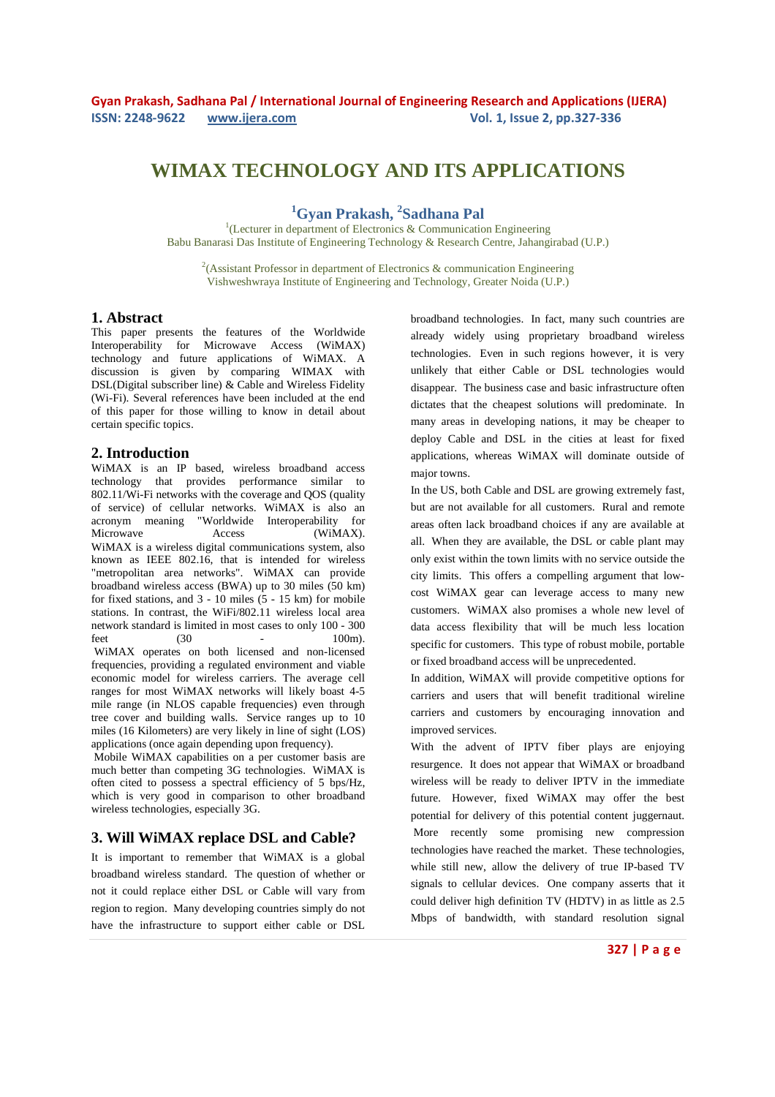# **WIMAX TECHNOLOGY AND ITS APPLICATIONS**

**<sup>1</sup>Gyan Prakash, <sup>2</sup> Sadhana Pal** 

<sup>1</sup>(Lecturer in department of Electronics & Communication Engineering Babu Banarasi Das Institute of Engineering Technology & Research Centre, Jahangirabad (U.P.)

<sup>2</sup>(Assistant Professor in department of Electronics & communication Engineering Vishweshwraya Institute of Engineering and Technology, Greater Noida (U.P.)

### **1. Abstract**

This paper presents the features of the Worldwide Interoperability for Microwave Access (WiMAX) technology and future applications of WiMAX. A discussion is given by comparing WIMAX with DSL(Digital subscriber line) & Cable and Wireless Fidelity (Wi-Fi). Several references have been included at the end of this paper for those willing to know in detail about certain specific topics.

### **2. Introduction**

WiMAX is an IP based, wireless broadband access technology that provides performance similar to 802.11/Wi-Fi networks with the coverage and QOS (quality of service) of cellular networks. WiMAX is also an acronym meaning "Worldwide Interoperability for Microwave Access (WiMAX). WiMAX is a wireless digital communications system, also known as IEEE 802.16, that is intended for wireless "metropolitan area networks". WiMAX can provide broadband wireless access (BWA) up to 30 miles (50 km) for fixed stations, and 3 - 10 miles (5 - 15 km) for mobile stations. In contrast, the WiFi/802.11 wireless local area network standard is limited in most cases to only 100 - 300 feet (30 - 100m). WiMAX operates on both licensed and non-licensed

frequencies, providing a regulated environment and viable economic model for wireless carriers. The average cell ranges for most WiMAX networks will likely boast 4-5 mile range (in NLOS capable frequencies) even through tree cover and building walls. Service ranges up to 10 miles (16 Kilometers) are very likely in line of sight (LOS) applications (once again depending upon frequency).

 Mobile WiMAX capabilities on a per customer basis are much better than competing 3G technologies. WiMAX is often cited to possess a spectral efficiency of 5 bps/Hz, which is very good in comparison to other broadband wireless technologies, especially 3G.

### **3. Will WiMAX replace DSL and Cable?**

It is important to remember that WiMAX is a global broadband wireless standard. The question of whether or not it could replace either DSL or Cable will vary from region to region. Many developing countries simply do not have the infrastructure to support either cable or DSL

broadband technologies. In fact, many such countries are already widely using proprietary broadband wireless technologies. Even in such regions however, it is very unlikely that either Cable or DSL technologies would disappear. The business case and basic infrastructure often dictates that the cheapest solutions will predominate. In many areas in developing nations, it may be cheaper to deploy Cable and DSL in the cities at least for fixed applications, whereas WiMAX will dominate outside of major towns.

In the US, both Cable and DSL are growing extremely fast, but are not available for all customers. Rural and remote areas often lack broadband choices if any are available at all. When they are available, the DSL or cable plant may only exist within the town limits with no service outside the city limits. This offers a compelling argument that lowcost WiMAX gear can leverage access to many new customers. WiMAX also promises a whole new level of data access flexibility that will be much less location specific for customers. This type of robust mobile, portable or fixed broadband access will be unprecedented.

In addition, WiMAX will provide competitive options for carriers and users that will benefit traditional wireline carriers and customers by encouraging innovation and improved services.

With the advent of IPTV fiber plays are enjoying resurgence. It does not appear that WiMAX or broadband wireless will be ready to deliver IPTV in the immediate future. However, fixed WiMAX may offer the best potential for delivery of this potential content juggernaut. More recently some promising new compression technologies have reached the market. These technologies, while still new, allow the delivery of true IP-based TV signals to cellular devices. One company asserts that it could deliver high definition TV (HDTV) in as little as 2.5 Mbps of bandwidth, with standard resolution signal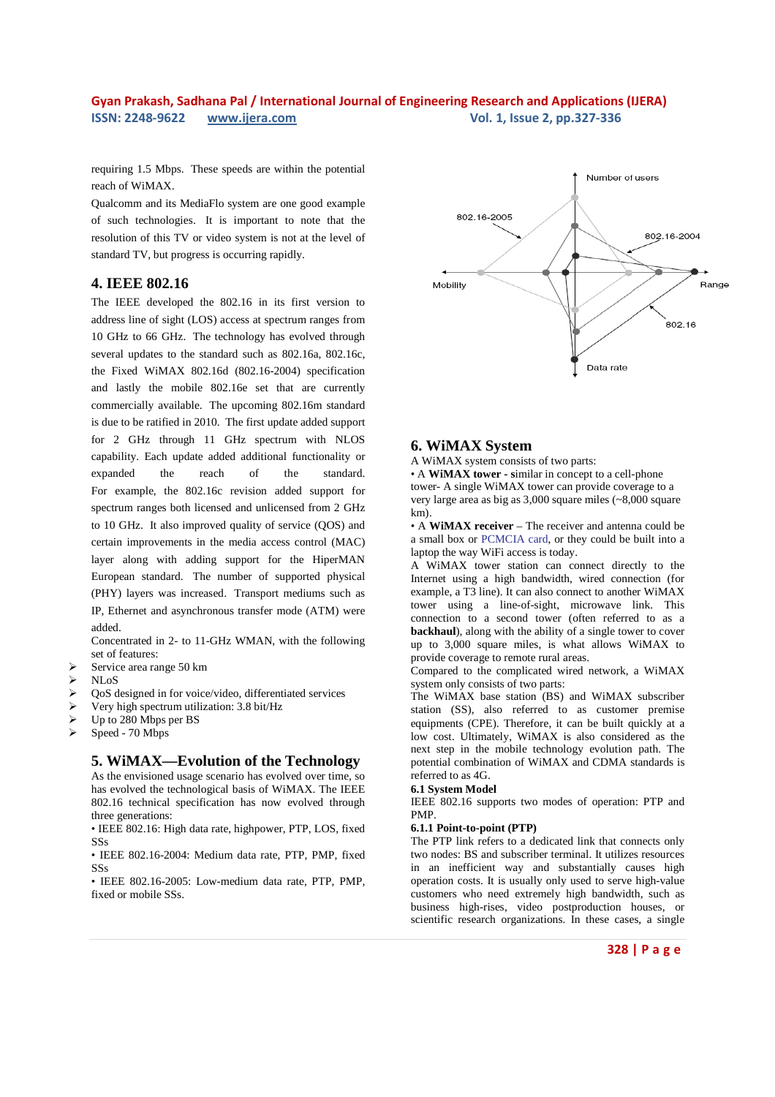requiring 1.5 Mbps. These speeds are within the potential reach of WiMAX.

Qualcomm and its MediaFlo system are one good example of such technologies. It is important to note that the resolution of this TV or video system is not at the level of standard TV, but progress is occurring rapidly.

## **4. IEEE 802.16**

The IEEE developed the 802.16 in its first version to address line of sight (LOS) access at spectrum ranges from 10 GHz to 66 GHz. The technology has evolved through several updates to the standard such as 802.16a, 802.16c, the Fixed WiMAX 802.16d (802.16-2004) specification and lastly the mobile 802.16e set that are currently commercially available. The upcoming 802.16m standard is due to be ratified in 2010. The first update added support for 2 GHz through 11 GHz spectrum with NLOS capability. Each update added additional functionality or expanded the reach of the standard. For example, the 802.16c revision added support for spectrum ranges both licensed and unlicensed from 2 GHz to 10 GHz. It also improved quality of service (QOS) and certain improvements in the media access control (MAC) layer along with adding support for the HiperMAN European standard. The number of supported physical (PHY) layers was increased. Transport mediums such as IP, Ethernet and asynchronous transfer mode (ATM) were added.

Concentrated in 2- to 11-GHz WMAN, with the following set of features:

- Service area range 50 km<br> $>$  NI oS
- NLoS
- $\geq$  QoS designed in for voice/video, differentiated services<br> $\geq$  Very high spectrum utilization: 3.8 bit/Hz
- Very high spectrum utilization: 3.8 bit/Hz
- Up to 280 Mbps per BS
- Speed 70 Mbps

## **5. WiMAX—Evolution of the Technology**

As the envisioned usage scenario has evolved over time, so has evolved the technological basis of WiMAX. The IEEE 802.16 technical specification has now evolved through three generations:

• IEEE 802.16: High data rate, highpower, PTP, LOS, fixed SSs

• IEEE 802.16-2004: Medium data rate, PTP, PMP, fixed SSs

• IEEE 802.16-2005: Low-medium data rate, PTP, PMP, fixed or mobile SSs.



### **6. WiMAX System**

A WiMAX system consists of two parts:

• A **WiMAX tower - s**imilar in concept to a cell-phone tower- A single WiMAX tower can provide coverage to a very large area as big as 3,000 square miles (~8,000 square km).

• A **WiMAX receiver** – The receiver and antenna could be a small box or PCMCIA card, or they could be built into a laptop the way WiFi access is today.

A WiMAX tower station can connect directly to the Internet using a high bandwidth, wired connection (for example, a T3 line). It can also connect to another WiMAX tower using a line-of-sight, microwave link. This connection to a second tower (often referred to as a **backhaul**), along with the ability of a single tower to cover up to 3,000 square miles, is what allows WiMAX to provide coverage to remote rural areas.

Compared to the complicated wired network, a WiMAX system only consists of two parts:

The WiMAX base station (BS) and WiMAX subscriber station (SS), also referred to as customer premise equipments (CPE). Therefore, it can be built quickly at a low cost. Ultimately, WiMAX is also considered as the next step in the mobile technology evolution path. The potential combination of WiMAX and CDMA standards is referred to as 4G.

#### **6.1 System Model**

IEEE 802.16 supports two modes of operation: PTP and PMP.

#### **6.1.1 Point-to-point (PTP)**

The PTP link refers to a dedicated link that connects only two nodes: BS and subscriber terminal. It utilizes resources in an inefficient way and substantially causes high operation costs. It is usually only used to serve high-value customers who need extremely high bandwidth, such as business high-rises, video postproduction houses, or scientific research organizations. In these cases, a single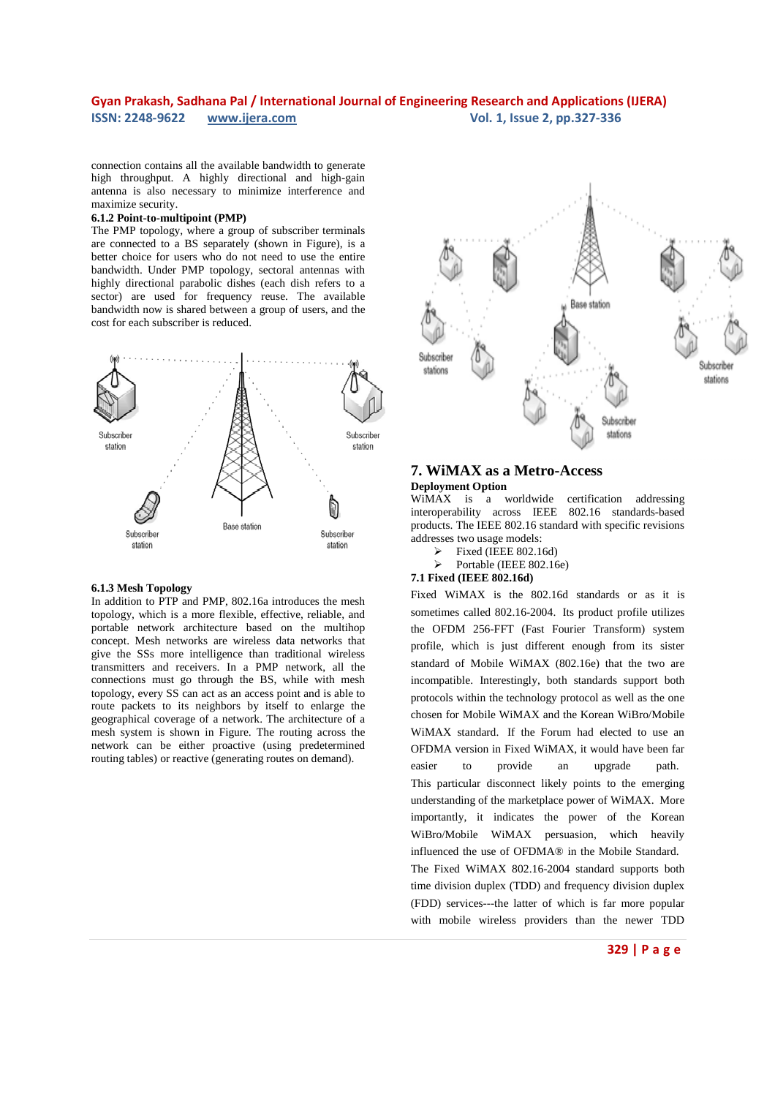connection contains all the available bandwidth to generate high throughput. A highly directional and high-gain antenna is also necessary to minimize interference and maximize security.

#### **6.1.2 Point-to-multipoint (PMP)**

The PMP topology, where a group of subscriber terminals are connected to a BS separately (shown in Figure), is a better choice for users who do not need to use the entire bandwidth. Under PMP topology, sectoral antennas with highly directional parabolic dishes (each dish refers to a sector) are used for frequency reuse. The available bandwidth now is shared between a group of users, and the cost for each subscriber is reduced.



#### **6.1.3 Mesh Topology**

In addition to PTP and PMP, 802.16a introduces the mesh topology, which is a more flexible, effective, reliable, and portable network architecture based on the multihop concept. Mesh networks are wireless data networks that give the SSs more intelligence than traditional wireless transmitters and receivers. In a PMP network, all the connections must go through the BS, while with mesh topology, every SS can act as an access point and is able to route packets to its neighbors by itself to enlarge the geographical coverage of a network. The architecture of a mesh system is shown in Figure. The routing across the network can be either proactive (using predetermined routing tables) or reactive (generating routes on demand).



### **7. WiMAX as a Metro-Access Deployment Option**

WiMAX is a worldwide certification addressing interoperability across IEEE 802.16 standards-based products. The IEEE 802.16 standard with specific revisions addresses two usage models:

- Fixed (IEEE 802.16d)
- Portable (IEEE 802.16e)

### **7.1 Fixed (IEEE 802.16d)**

Fixed WiMAX is the 802.16d standards or as it is sometimes called 802.16-2004. Its product profile utilizes the OFDM 256-FFT (Fast Fourier Transform) system profile, which is just different enough from its sister standard of Mobile WiMAX (802.16e) that the two are incompatible. Interestingly, both standards support both protocols within the technology protocol as well as the one chosen for Mobile WiMAX and the Korean WiBro/Mobile WiMAX standard. If the Forum had elected to use an OFDMA version in Fixed WiMAX, it would have been far easier to provide an upgrade path. This particular disconnect likely points to the emerging understanding of the marketplace power of WiMAX. More importantly, it indicates the power of the Korean WiBro/Mobile WiMAX persuasion, which heavily influenced the use of OFDMA® in the Mobile Standard. The Fixed WiMAX 802.16-2004 standard supports both time division duplex (TDD) and frequency division duplex (FDD) services---the latter of which is far more popular with mobile wireless providers than the newer TDD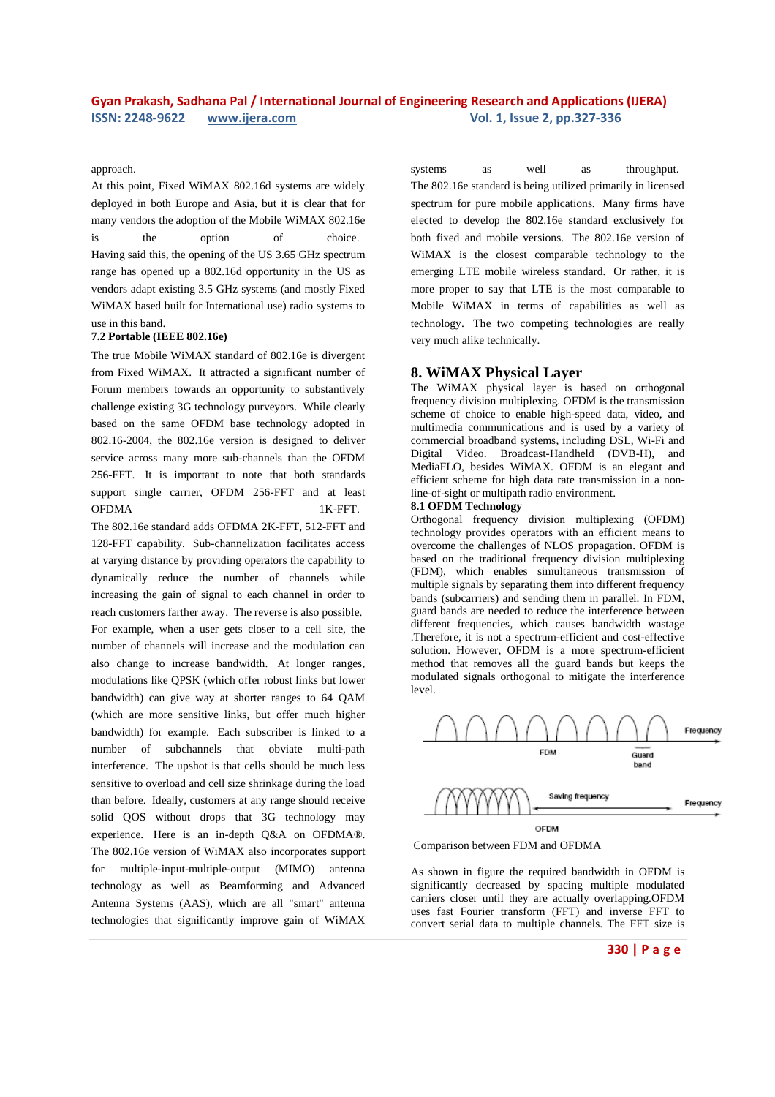### approach.

At this point, Fixed WiMAX 802.16d systems are widely deployed in both Europe and Asia, but it is clear that for many vendors the adoption of the Mobile WiMAX 802.16e is the option of choice. Having said this, the opening of the US 3.65 GHz spectrum range has opened up a 802.16d opportunity in the US as vendors adapt existing 3.5 GHz systems (and mostly Fixed WiMAX based built for International use) radio systems to use in this band.

### **7.2 Portable (IEEE 802.16e)**

The true Mobile WiMAX standard of 802.16e is divergent from Fixed WiMAX. It attracted a significant number of Forum members towards an opportunity to substantively challenge existing 3G technology purveyors. While clearly based on the same OFDM base technology adopted in 802.16-2004, the 802.16e version is designed to deliver service across many more sub-channels than the OFDM 256-FFT. It is important to note that both standards support single carrier, OFDM 256-FFT and at least OFDMA 1K-FFT.

The 802.16e standard adds OFDMA 2K-FFT, 512-FFT and 128-FFT capability. Sub-channelization facilitates access at varying distance by providing operators the capability to dynamically reduce the number of channels while increasing the gain of signal to each channel in order to reach customers farther away. The reverse is also possible. For example, when a user gets closer to a cell site, the number of channels will increase and the modulation can also change to increase bandwidth. At longer ranges, modulations like QPSK (which offer robust links but lower bandwidth) can give way at shorter ranges to 64 QAM (which are more sensitive links, but offer much higher bandwidth) for example. Each subscriber is linked to a number of subchannels that obviate multi-path interference. The upshot is that cells should be much less sensitive to overload and cell size shrinkage during the load than before. Ideally, customers at any range should receive solid QOS without drops that 3G technology may experience. Here is an in-depth Q&A on OFDMA®. The 802.16e version of WiMAX also incorporates support for multiple-input-multiple-output (MIMO) antenna technology as well as Beamforming and Advanced Antenna Systems (AAS), which are all "smart" antenna technologies that significantly improve gain of WiMAX

systems as well as throughput. The 802.16e standard is being utilized primarily in licensed spectrum for pure mobile applications. Many firms have elected to develop the 802.16e standard exclusively for both fixed and mobile versions. The 802.16e version of WiMAX is the closest comparable technology to the emerging LTE mobile wireless standard. Or rather, it is more proper to say that LTE is the most comparable to Mobile WiMAX in terms of capabilities as well as technology. The two competing technologies are really very much alike technically.

### **8. WiMAX Physical Layer**

The WiMAX physical layer is based on orthogonal frequency division multiplexing. OFDM is the transmission scheme of choice to enable high-speed data, video, and multimedia communications and is used by a variety of commercial broadband systems, including DSL, Wi-Fi and Digital Video. Broadcast-Handheld (DVB-H), and MediaFLO, besides WiMAX. OFDM is an elegant and efficient scheme for high data rate transmission in a nonline-of-sight or multipath radio environment.

#### **8.1 OFDM Technology**

Orthogonal frequency division multiplexing (OFDM) technology provides operators with an efficient means to overcome the challenges of NLOS propagation. OFDM is based on the traditional frequency division multiplexing (FDM), which enables simultaneous transmission of multiple signals by separating them into different frequency bands (subcarriers) and sending them in parallel. In FDM, guard bands are needed to reduce the interference between different frequencies, which causes bandwidth wastage .Therefore, it is not a spectrum-efficient and cost-effective solution. However, OFDM is a more spectrum-efficient method that removes all the guard bands but keeps the modulated signals orthogonal to mitigate the interference level.



Comparison between FDM and OFDMA

As shown in figure the required bandwidth in OFDM is significantly decreased by spacing multiple modulated carriers closer until they are actually overlapping.OFDM uses fast Fourier transform (FFT) and inverse FFT to convert serial data to multiple channels. The FFT size is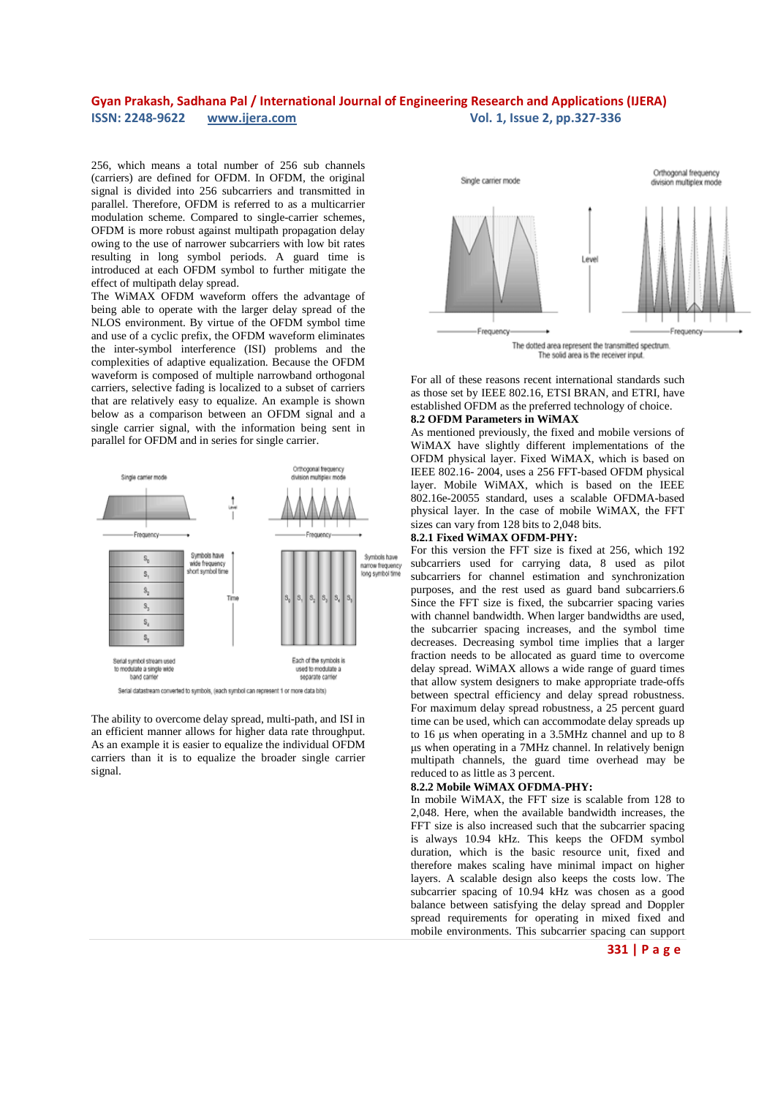256, which means a total number of 256 sub channels (carriers) are defined for OFDM. In OFDM, the original signal is divided into 256 subcarriers and transmitted in parallel. Therefore, OFDM is referred to as a multicarrier modulation scheme. Compared to single-carrier schemes, OFDM is more robust against multipath propagation delay owing to the use of narrower subcarriers with low bit rates resulting in long symbol periods. A guard time is introduced at each OFDM symbol to further mitigate the effect of multipath delay spread.

The WiMAX OFDM waveform offers the advantage of being able to operate with the larger delay spread of the NLOS environment. By virtue of the OFDM symbol time and use of a cyclic prefix, the OFDM waveform eliminates the inter-symbol interference (ISI) problems and the complexities of adaptive equalization. Because the OFDM waveform is composed of multiple narrowband orthogonal carriers, selective fading is localized to a subset of carriers that are relatively easy to equalize. An example is shown below as a comparison between an OFDM signal and a single carrier signal, with the information being sent in parallel for OFDM and in series for single carrier.



The ability to overcome delay spread, multi-path, and ISI in an efficient manner allows for higher data rate throughput. As an example it is easier to equalize the individual OFDM carriers than it is to equalize the broader single carrier signal.



For all of these reasons recent international standards such as those set by IEEE 802.16, ETSI BRAN, and ETRI, have established OFDM as the preferred technology of choice.

#### **8.2 OFDM Parameters in WiMAX**

As mentioned previously, the fixed and mobile versions of WiMAX have slightly different implementations of the OFDM physical layer. Fixed WiMAX, which is based on IEEE 802.16- 2004, uses a 256 FFT-based OFDM physical layer. Mobile WiMAX, which is based on the IEEE 802.16e-20055 standard, uses a scalable OFDMA-based physical layer. In the case of mobile WiMAX, the FFT sizes can vary from 128 bits to 2,048 bits.

### **8.2.1 Fixed WiMAX OFDM-PHY:**

For this version the FFT size is fixed at 256, which 192 subcarriers used for carrying data, 8 used as pilot subcarriers for channel estimation and synchronization purposes, and the rest used as guard band subcarriers.6 Since the FFT size is fixed, the subcarrier spacing varies with channel bandwidth. When larger bandwidths are used, the subcarrier spacing increases, and the symbol time decreases. Decreasing symbol time implies that a larger fraction needs to be allocated as guard time to overcome delay spread. WiMAX allows a wide range of guard times that allow system designers to make appropriate trade-offs between spectral efficiency and delay spread robustness. For maximum delay spread robustness, a 25 percent guard time can be used, which can accommodate delay spreads up to 16 µs when operating in a 3.5MHz channel and up to 8 µs when operating in a 7MHz channel. In relatively benign multipath channels, the guard time overhead may be reduced to as little as 3 percent.

#### **8.2.2 Mobile WiMAX OFDMA-PHY:**

In mobile WiMAX, the FFT size is scalable from 128 to 2,048. Here, when the available bandwidth increases, the FFT size is also increased such that the subcarrier spacing is always 10.94 kHz. This keeps the OFDM symbol duration, which is the basic resource unit, fixed and therefore makes scaling have minimal impact on higher layers. A scalable design also keeps the costs low. The subcarrier spacing of 10.94 kHz was chosen as a good balance between satisfying the delay spread and Doppler spread requirements for operating in mixed fixed and mobile environments. This subcarrier spacing can support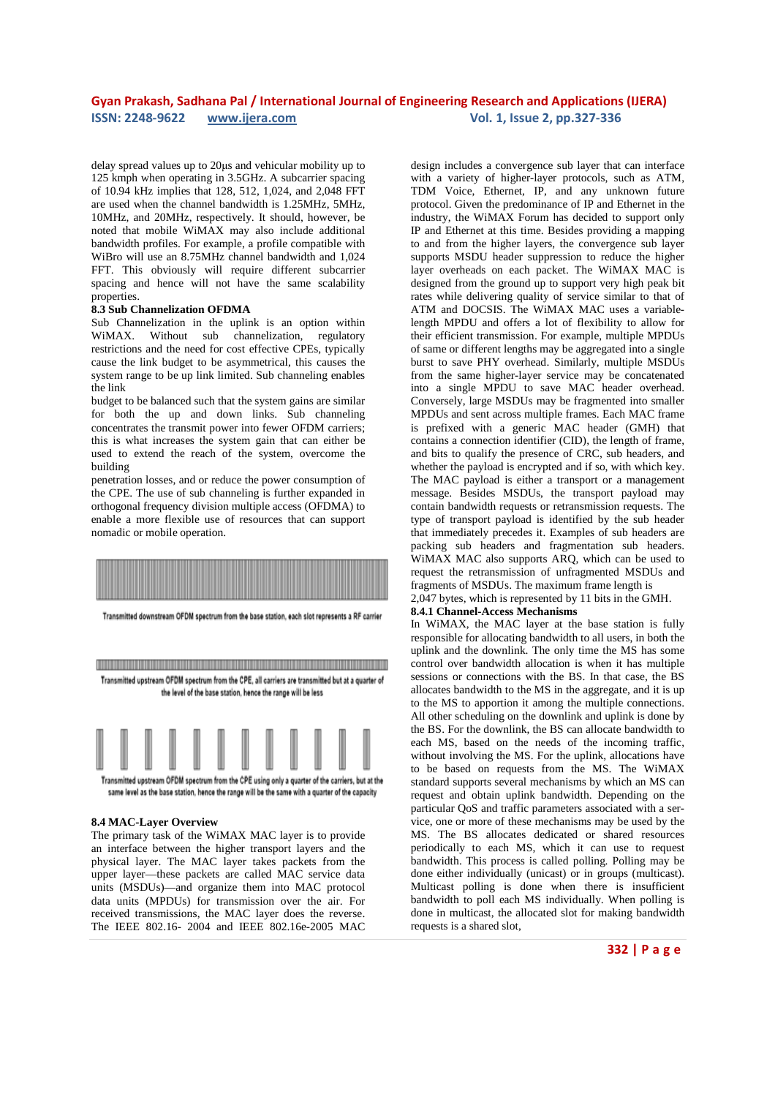delay spread values up to 20µs and vehicular mobility up to 125 kmph when operating in 3.5GHz. A subcarrier spacing of 10.94 kHz implies that 128, 512, 1,024, and 2,048 FFT are used when the channel bandwidth is 1.25MHz, 5MHz, 10MHz, and 20MHz, respectively. It should, however, be noted that mobile WiMAX may also include additional bandwidth profiles. For example, a profile compatible with WiBro will use an 8.75MHz channel bandwidth and 1,024 FFT. This obviously will require different subcarrier spacing and hence will not have the same scalability properties.

#### **8.3 Sub Channelization OFDMA**

Sub Channelization in the uplink is an option within WiMAX. Without sub channelization, regulatory restrictions and the need for cost effective CPEs, typically cause the link budget to be asymmetrical, this causes the system range to be up link limited. Sub channeling enables the link

budget to be balanced such that the system gains are similar for both the up and down links. Sub channeling concentrates the transmit power into fewer OFDM carriers; this is what increases the system gain that can either be used to extend the reach of the system, overcome the building

penetration losses, and or reduce the power consumption of the CPE. The use of sub channeling is further expanded in orthogonal frequency division multiple access (OFDMA) to enable a more flexible use of resources that can support nomadic or mobile operation.



Transmitted downstream OFDM spectrum from the base station, each slot represents a RF carrier

<u> 1989 - Johann Stoff, disk foar it fjild fan it fjild fan it fjild fan it fjild fan it fjild fan it fjild fan </u> Transmitted upstream OFDM spectrum from the CPE, all carriers are transmitted but at a quarter of the level of the base station, hence the range will be less

![](_page_5_Figure_9.jpeg)

same level as the base station, hence the range will be the same with a quarter of the capacity

#### **8.4 MAC-Layer Overview**

The primary task of the WiMAX MAC layer is to provide an interface between the higher transport layers and the physical layer. The MAC layer takes packets from the upper layer—these packets are called MAC service data units (MSDUs)—and organize them into MAC protocol data units (MPDUs) for transmission over the air. For received transmissions, the MAC layer does the reverse. The IEEE 802.16- 2004 and IEEE 802.16e-2005 MAC

design includes a convergence sub layer that can interface with a variety of higher-layer protocols, such as ATM, TDM Voice, Ethernet, IP, and any unknown future protocol. Given the predominance of IP and Ethernet in the industry, the WiMAX Forum has decided to support only IP and Ethernet at this time. Besides providing a mapping to and from the higher layers, the convergence sub layer supports MSDU header suppression to reduce the higher layer overheads on each packet. The WiMAX MAC is designed from the ground up to support very high peak bit rates while delivering quality of service similar to that of ATM and DOCSIS. The WiMAX MAC uses a variablelength MPDU and offers a lot of flexibility to allow for their efficient transmission. For example, multiple MPDUs of same or different lengths may be aggregated into a single burst to save PHY overhead. Similarly, multiple MSDUs from the same higher-layer service may be concatenated into a single MPDU to save MAC header overhead. Conversely, large MSDUs may be fragmented into smaller MPDUs and sent across multiple frames. Each MAC frame is prefixed with a generic MAC header (GMH) that contains a connection identifier (CID), the length of frame, and bits to qualify the presence of CRC, sub headers, and whether the payload is encrypted and if so, with which key. The MAC payload is either a transport or a management message. Besides MSDUs, the transport payload may contain bandwidth requests or retransmission requests. The type of transport payload is identified by the sub header that immediately precedes it. Examples of sub headers are packing sub headers and fragmentation sub headers. WiMAX MAC also supports ARQ, which can be used to request the retransmission of unfragmented MSDUs and fragments of MSDUs. The maximum frame length is

2,047 bytes, which is represented by 11 bits in the GMH.

### **8.4.1 Channel-Access Mechanisms**

In WiMAX, the MAC layer at the base station is fully responsible for allocating bandwidth to all users, in both the uplink and the downlink. The only time the MS has some control over bandwidth allocation is when it has multiple sessions or connections with the BS. In that case, the BS allocates bandwidth to the MS in the aggregate, and it is up to the MS to apportion it among the multiple connections. All other scheduling on the downlink and uplink is done by the BS. For the downlink, the BS can allocate bandwidth to each MS, based on the needs of the incoming traffic, without involving the MS. For the uplink, allocations have to be based on requests from the MS. The WiMAX standard supports several mechanisms by which an MS can request and obtain uplink bandwidth. Depending on the particular QoS and traffic parameters associated with a service, one or more of these mechanisms may be used by the MS. The BS allocates dedicated or shared resources periodically to each MS, which it can use to request bandwidth. This process is called polling. Polling may be done either individually (unicast) or in groups (multicast). Multicast polling is done when there is insufficient bandwidth to poll each MS individually. When polling is done in multicast, the allocated slot for making bandwidth requests is a shared slot,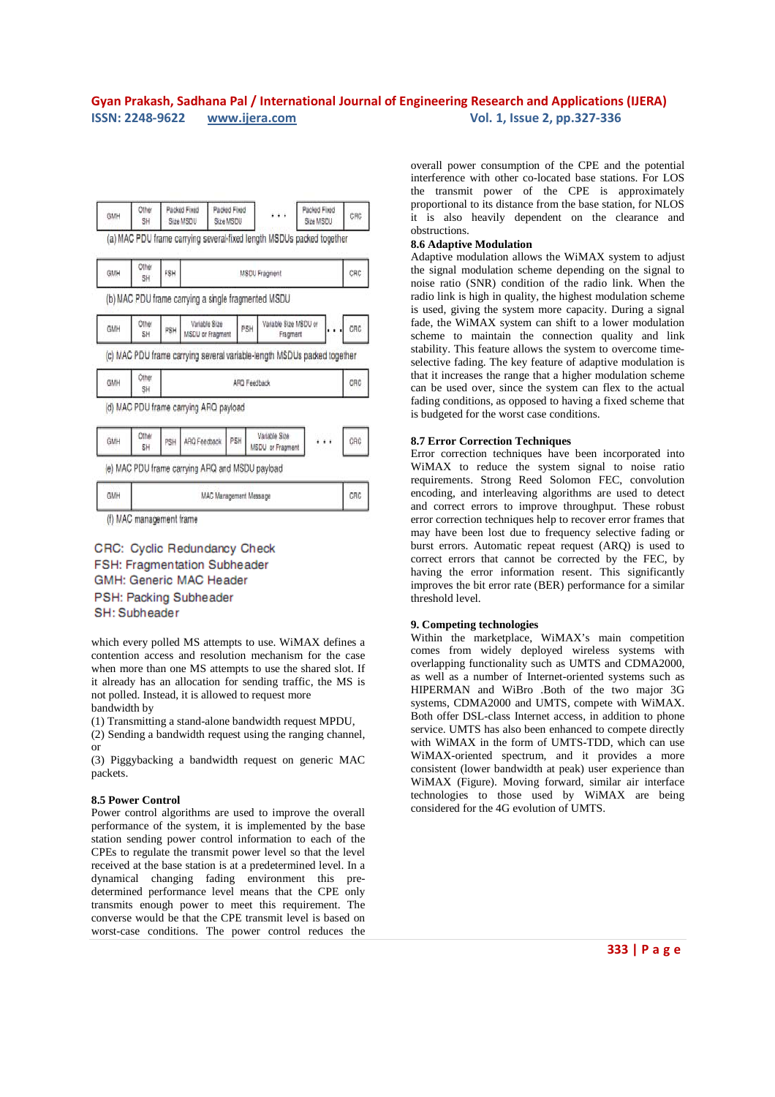![](_page_6_Figure_1.jpeg)

CRC: Cyclic Redundancy Check FSH: Fragmentation Subheader GMH: Generic MAC Header PSH: Packing Subheader SH: Subheader

which every polled MS attempts to use. WiMAX defines a contention access and resolution mechanism for the case when more than one MS attempts to use the shared slot. If it already has an allocation for sending traffic, the MS is not polled. Instead, it is allowed to request more bandwidth by

(1) Transmitting a stand-alone bandwidth request MPDU,

(2) Sending a bandwidth request using the ranging channel, or

(3) Piggybacking a bandwidth request on generic MAC packets.

#### **8.5 Power Control**

Power control algorithms are used to improve the overall performance of the system, it is implemented by the base station sending power control information to each of the CPEs to regulate the transmit power level so that the level received at the base station is at a predetermined level. In a dynamical changing fading environment this predetermined performance level means that the CPE only transmits enough power to meet this requirement. The converse would be that the CPE transmit level is based on worst-case conditions. The power control reduces the

overall power consumption of the CPE and the potential interference with other co-located base stations. For LOS the transmit power of the CPE is approximately proportional to its distance from the base station, for NLOS it is also heavily dependent on the clearance and obstructions.

#### **8.6 Adaptive Modulation**

Adaptive modulation allows the WiMAX system to adjust the signal modulation scheme depending on the signal to noise ratio (SNR) condition of the radio link. When the radio link is high in quality, the highest modulation scheme is used, giving the system more capacity. During a signal fade, the WiMAX system can shift to a lower modulation scheme to maintain the connection quality and link stability. This feature allows the system to overcome timeselective fading. The key feature of adaptive modulation is that it increases the range that a higher modulation scheme can be used over, since the system can flex to the actual fading conditions, as opposed to having a fixed scheme that is budgeted for the worst case conditions.

#### **8.7 Error Correction Techniques**

Error correction techniques have been incorporated into WiMAX to reduce the system signal to noise ratio requirements. Strong Reed Solomon FEC, convolution encoding, and interleaving algorithms are used to detect and correct errors to improve throughput. These robust error correction techniques help to recover error frames that may have been lost due to frequency selective fading or burst errors. Automatic repeat request (ARQ) is used to correct errors that cannot be corrected by the FEC, by having the error information resent. This significantly improves the bit error rate (BER) performance for a similar threshold level.

#### **9. Competing technologies**

Within the marketplace, WiMAX's main competition comes from widely deployed wireless systems with overlapping functionality such as UMTS and CDMA2000, as well as a number of Internet-oriented systems such as HIPERMAN and WiBro .Both of the two major 3G systems, CDMA2000 and UMTS, compete with WiMAX. Both offer DSL-class Internet access, in addition to phone service. UMTS has also been enhanced to compete directly with WiMAX in the form of UMTS-TDD, which can use WiMAX-oriented spectrum, and it provides a more consistent (lower bandwidth at peak) user experience than WiMAX (Figure). Moving forward, similar air interface technologies to those used by WiMAX are being considered for the 4G evolution of UMTS.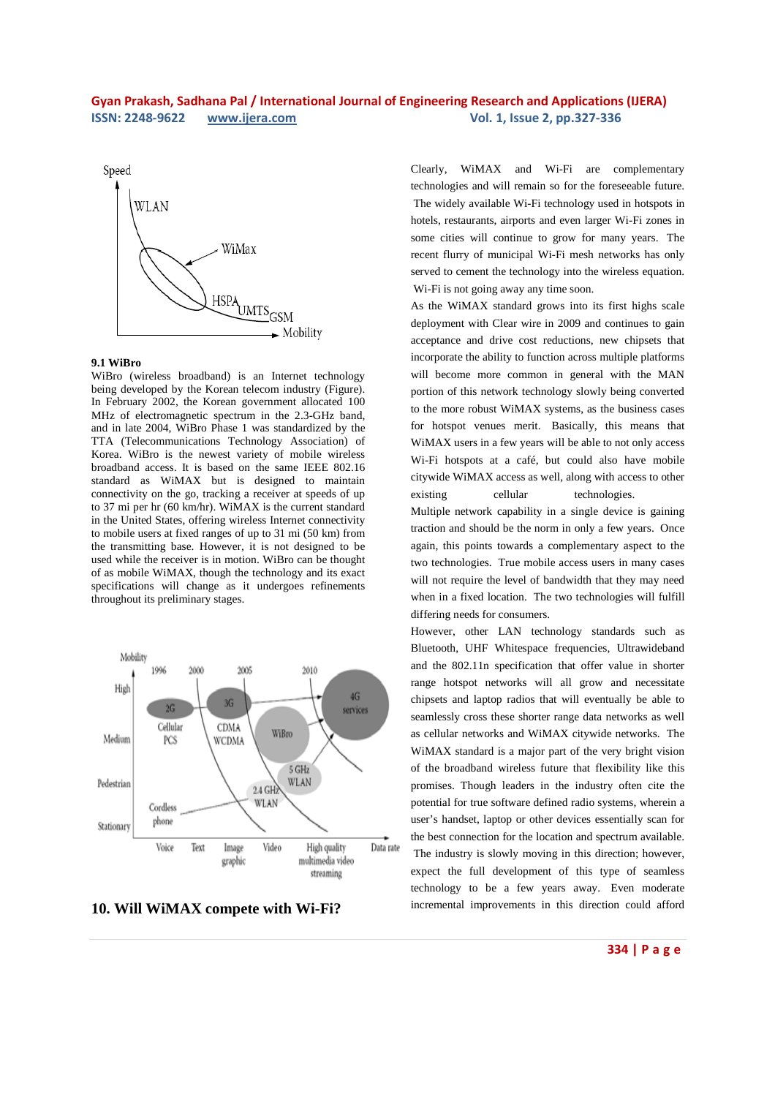![](_page_7_Figure_1.jpeg)

### **9.1 WiBro**

WiBro (wireless broadband) is an Internet technology being developed by the Korean telecom industry (Figure). In February 2002, the Korean government allocated 100 MHz of electromagnetic spectrum in the 2.3-GHz band, and in late 2004, WiBro Phase 1 was standardized by the TTA (Telecommunications Technology Association) of Korea. WiBro is the newest variety of mobile wireless broadband access. It is based on the same IEEE 802.16 standard as WiMAX but is designed to maintain connectivity on the go, tracking a receiver at speeds of up to 37 mi per hr (60 km/hr). WiMAX is the current standard in the United States, offering wireless Internet connectivity to mobile users at fixed ranges of up to 31 mi (50 km) from the transmitting base. However, it is not designed to be used while the receiver is in motion. WiBro can be thought of as mobile WiMAX, though the technology and its exact specifications will change as it undergoes refinements throughout its preliminary stages.

![](_page_7_Figure_4.jpeg)

**10. Will WiMAX compete with Wi-Fi?** 

Clearly, WiMAX and Wi-Fi are complementary technologies and will remain so for the foreseeable future. The widely available Wi-Fi technology used in hotspots in hotels, restaurants, airports and even larger Wi-Fi zones in some cities will continue to grow for many years. The recent flurry of municipal Wi-Fi mesh networks has only served to cement the technology into the wireless equation. Wi-Fi is not going away any time soon.

As the WiMAX standard grows into its first highs scale deployment with Clear wire in 2009 and continues to gain acceptance and drive cost reductions, new chipsets that incorporate the ability to function across multiple platforms will become more common in general with the MAN portion of this network technology slowly being converted to the more robust WiMAX systems, as the business cases for hotspot venues merit. Basically, this means that WiMAX users in a few years will be able to not only access Wi-Fi hotspots at a café, but could also have mobile citywide WiMAX access as well, along with access to other existing cellular technologies.

Multiple network capability in a single device is gaining traction and should be the norm in only a few years. Once again, this points towards a complementary aspect to the two technologies. True mobile access users in many cases will not require the level of bandwidth that they may need when in a fixed location. The two technologies will fulfill differing needs for consumers.

However, other LAN technology standards such as Bluetooth, UHF Whitespace frequencies, Ultrawideband and the 802.11n specification that offer value in shorter range hotspot networks will all grow and necessitate chipsets and laptop radios that will eventually be able to seamlessly cross these shorter range data networks as well as cellular networks and WiMAX citywide networks. The WiMAX standard is a major part of the very bright vision of the broadband wireless future that flexibility like this promises. Though leaders in the industry often cite the potential for true software defined radio systems, wherein a user's handset, laptop or other devices essentially scan for the best connection for the location and spectrum available. The industry is slowly moving in this direction; however, expect the full development of this type of seamless technology to be a few years away. Even moderate incremental improvements in this direction could afford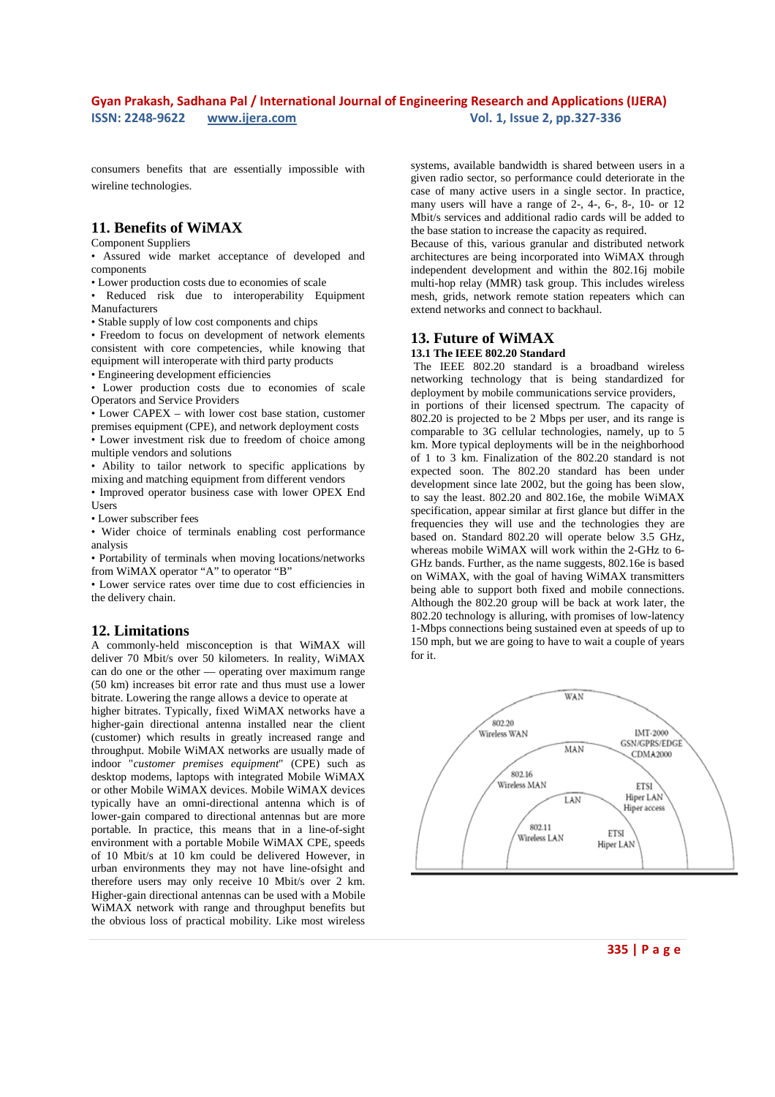consumers benefits that are essentially impossible with wireline technologies.

## **11. Benefits of WiMAX**

#### Component Suppliers

• Assured wide market acceptance of developed and components

• Lower production costs due to economies of scale

• Reduced risk due to interoperability Equipment Manufacturers

• Stable supply of low cost components and chips

• Freedom to focus on development of network elements consistent with core competencies, while knowing that equipment will interoperate with third party products

• Engineering development efficiencies

• Lower production costs due to economies of scale Operators and Service Providers

• Lower CAPEX – with lower cost base station, customer premises equipment (CPE), and network deployment costs

• Lower investment risk due to freedom of choice among multiple vendors and solutions

• Ability to tailor network to specific applications by mixing and matching equipment from different vendors

• Improved operator business case with lower OPEX End Users

• Lower subscriber fees

• Wider choice of terminals enabling cost performance analysis

• Portability of terminals when moving locations/networks from WiMAX operator "A" to operator "B"

• Lower service rates over time due to cost efficiencies in the delivery chain.

#### **12. Limitations**

A commonly-held misconception is that WiMAX will deliver 70 Mbit/s over 50 kilometers. In reality, WiMAX can do one or the other — operating over maximum range (50 km) increases bit error rate and thus must use a lower bitrate. Lowering the range allows a device to operate at

higher bitrates. Typically, fixed WiMAX networks have a higher-gain directional antenna installed near the client (customer) which results in greatly increased range and throughput. Mobile WiMAX networks are usually made of indoor "*customer premises equipment*" (CPE) such as desktop modems, laptops with integrated Mobile WiMAX or other Mobile WiMAX devices. Mobile WiMAX devices typically have an omni-directional antenna which is of lower-gain compared to directional antennas but are more portable. In practice, this means that in a line-of-sight environment with a portable Mobile WiMAX CPE, speeds of 10 Mbit/s at 10 km could be delivered However, in urban environments they may not have line-ofsight and therefore users may only receive 10 Mbit/s over 2 km. Higher-gain directional antennas can be used with a Mobile WiMAX network with range and throughput benefits but the obvious loss of practical mobility. Like most wireless

systems, available bandwidth is shared between users in a given radio sector, so performance could deteriorate in the case of many active users in a single sector. In practice, many users will have a range of 2-, 4-, 6-, 8-, 10- or 12 Mbit/s services and additional radio cards will be added to the base station to increase the capacity as required.

Because of this, various granular and distributed network architectures are being incorporated into WiMAX through independent development and within the 802.16j mobile multi-hop relay (MMR) task group. This includes wireless mesh, grids, network remote station repeaters which can extend networks and connect to backhaul.

## **13. Future of WiMAX**

## **13.1 The IEEE 802.20 Standard**

The IEEE 802.20 standard is a broadband wireless networking technology that is being standardized for deployment by mobile communications service providers, in portions of their licensed spectrum. The capacity of 802.20 is projected to be 2 Mbps per user, and its range is comparable to 3G cellular technologies, namely, up to 5 km. More typical deployments will be in the neighborhood of 1 to 3 km. Finalization of the 802.20 standard is not expected soon. The 802.20 standard has been under development since late 2002, but the going has been slow, to say the least. 802.20 and 802.16e, the mobile WiMAX specification, appear similar at first glance but differ in the frequencies they will use and the technologies they are based on. Standard 802.20 will operate below 3.5 GHz, whereas mobile WiMAX will work within the 2-GHz to 6- GHz bands. Further, as the name suggests, 802.16e is based on WiMAX, with the goal of having WiMAX transmitters being able to support both fixed and mobile connections. Although the 802.20 group will be back at work later, the 802.20 technology is alluring, with promises of low-latency 1-Mbps connections being sustained even at speeds of up to 150 mph, but we are going to have to wait a couple of years for it.

![](_page_8_Figure_27.jpeg)